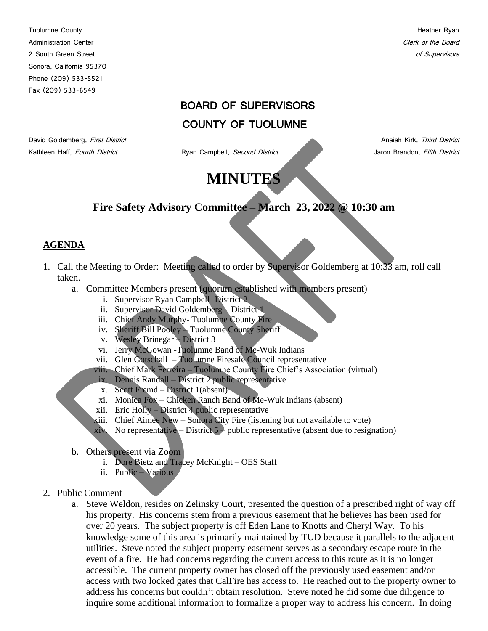Tuolumne County **Heather Ryan** Administration Center Content of the Board Clerk of the Board Clerk of the Board Clerk of the Board Clerk of the Board Clerk of the Board Clerk of the Board Clerk of the Board Clerk of the Board Clerk of the Board Clerk of 2 South Green Street of Supervisors and Supervisors and Supervisors and Supervisors of Supervisors of Supervisors Sonora, California 95370 Phone (209) 533-5521 Fax (209) 533-6549

# BOARD OF SUPERVISORS

# COUNTY OF TUOLUMNE

Kathleen Haff, Fourth District **Ryan Campbell**, Second District **All Campbell** Jaron Brandon, Fifth District

David Goldemberg, First District Anaiah Kirk, Third District Anaiah Kirk, Third District

# **MINUTES**

# **Fire Safety Advisory Committee – March 23, 2022 @ 10:30 am**

## **AGENDA**

- 1. Call the Meeting to Order: Meeting called to order by Supervisor Goldemberg at 10:33 am, roll call taken.
	- a. Committee Members present (quorum established with members present)
		- i. Supervisor Ryan Campbell -District 2
		- ii. Supervisor David Goldemberg District 1
		- iii. Chief Andy Murphy- Tuolumne County Fire
		- iv. Sheriff Bill Pooley Tuolumne County Sheriff
		- v. Wesley Brinegar District 3
		- vi. Jerry McGowan -Tuolumne Band of Me-Wuk Indians
		- vii. Glen Gotschall Tuolumne Firesafe Council representative
		- viii. Chief Mark Ferreira Tuolumne County Fire Chief's Association (virtual)
		- ix. Dennis Randall District 2 public representative
		- x. Scott Fremd District 1(absent)
		- xi. Monica Fox Chicken Ranch Band of Me-Wuk Indians (absent)
		- xii. Eric Holly District 4 public representative
		- xiii. Chief Aimee New Sonora City Fire (listening but not available to vote)
		- xiv. No representative District  $5 \rho$  public representative (absent due to resignation)
	- b. Others present via Zoom
		- i. Dore Bietz and Tracey McKnight OES Staff
		- ii. Public Various
- 2. Public Comment
	- a. Steve Weldon, resides on Zelinsky Court, presented the question of a prescribed right of way off his property. His concerns stem from a previous easement that he believes has been used for over 20 years. The subject property is off Eden Lane to Knotts and Cheryl Way. To his knowledge some of this area is primarily maintained by TUD because it parallels to the adjacent utilities. Steve noted the subject property easement serves as a secondary escape route in the event of a fire. He had concerns regarding the current access to this route as it is no longer accessible. The current property owner has closed off the previously used easement and/or access with two locked gates that CalFire has access to. He reached out to the property owner to address his concerns but couldn't obtain resolution. Steve noted he did some due diligence to inquire some additional information to formalize a proper way to address his concern. In doing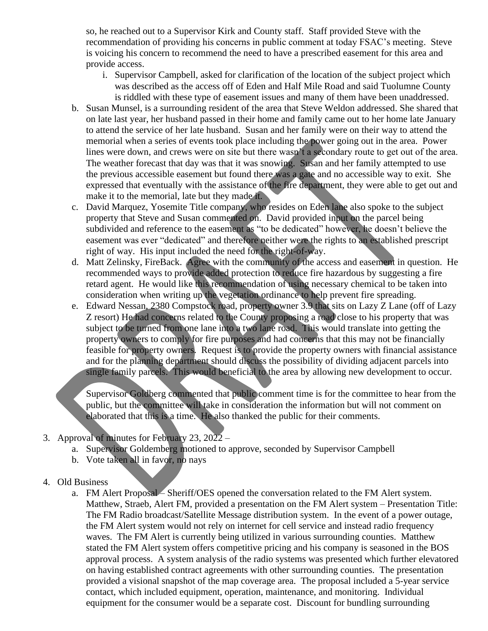so, he reached out to a Supervisor Kirk and County staff. Staff provided Steve with the recommendation of providing his concerns in public comment at today FSAC's meeting. Steve is voicing his concern to recommend the need to have a prescribed easement for this area and provide access.

- i. Supervisor Campbell, asked for clarification of the location of the subject project which was described as the access off of Eden and Half Mile Road and said Tuolumne County is riddled with these type of easement issues and many of them have been unaddressed.
- b. Susan Munsel, is a surrounding resident of the area that Steve Weldon addressed. She shared that on late last year, her husband passed in their home and family came out to her home late January to attend the service of her late husband. Susan and her family were on their way to attend the memorial when a series of events took place including the power going out in the area. Power lines were down, and crews were on site but there wasn't a secondary route to get out of the area. The weather forecast that day was that it was snowing. Susan and her family attempted to use the previous accessible easement but found there was a gate and no accessible way to exit. She expressed that eventually with the assistance of the fire department, they were able to get out and make it to the memorial, late but they made it.
- c. David Marquez, Yosemite Title company, who resides on Eden lane also spoke to the subject property that Steve and Susan commented on. David provided input on the parcel being subdivided and reference to the easement as "to be dedicated" however, he doesn't believe the easement was ever "dedicated" and therefore neither were the rights to an established prescript right of way. His input included the need for the right-of-way.
- d. Matt Zelinsky, FireBack. Agree with the community of the access and easement in question. He recommended ways to provide added protection to reduce fire hazardous by suggesting a fire retard agent. He would like this recommendation of using necessary chemical to be taken into consideration when writing up the vegetation ordinance to help prevent fire spreading.
- e. Edward Nessan, 2380 Compstock road, property owner 3.9 that sits on Lazy Z Lane (off of Lazy Z resort) He had concerns related to the County proposing a road close to his property that was subject to be turned from one lane into a two lane road. This would translate into getting the property owners to comply for fire purposes and had concerns that this may not be financially feasible for property owners. Request is to provide the property owners with financial assistance and for the planning department should discuss the possibility of dividing adjacent parcels into single family parcels. This would beneficial to the area by allowing new development to occur.

Supervisor Goldberg commented that public comment time is for the committee to hear from the public, but the committee will take in consideration the information but will not comment on elaborated that this is a time. He also thanked the public for their comments.

- 3. Approval of minutes for February 23, 2022
	- a. Supervisor Goldemberg motioned to approve, seconded by Supervisor Campbell
	- b. Vote taken all in favor, no nays
- 4. Old Business
	- a. FM Alert Proposal Sheriff/OES opened the conversation related to the FM Alert system. Matthew, Straeb, Alert FM, provided a presentation on the FM Alert system – Presentation Title: The FM Radio broadcast/Satellite Message distribution system. In the event of a power outage, the FM Alert system would not rely on internet for cell service and instead radio frequency waves. The FM Alert is currently being utilized in various surrounding counties. Matthew stated the FM Alert system offers competitive pricing and his company is seasoned in the BOS approval process. A system analysis of the radio systems was presented which further elevatored on having established contract agreements with other surrounding counties. The presentation provided a visional snapshot of the map coverage area. The proposal included a 5-year service contact, which included equipment, operation, maintenance, and monitoring. Individual equipment for the consumer would be a separate cost. Discount for bundling surrounding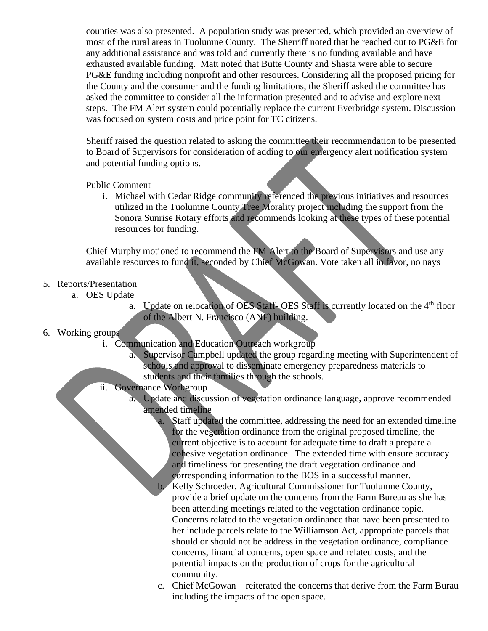counties was also presented. A population study was presented, which provided an overview of most of the rural areas in Tuolumne County. The Sherriff noted that he reached out to PG&E for any additional assistance and was told and currently there is no funding available and have exhausted available funding. Matt noted that Butte County and Shasta were able to secure PG&E funding including nonprofit and other resources. Considering all the proposed pricing for the County and the consumer and the funding limitations, the Sheriff asked the committee has asked the committee to consider all the information presented and to advise and explore next steps. The FM Alert system could potentially replace the current Everbridge system. Discussion was focused on system costs and price point for TC citizens.

Sheriff raised the question related to asking the committee their recommendation to be presented to Board of Supervisors for consideration of adding to our emergency alert notification system and potential funding options.

#### Public Comment

i. Michael with Cedar Ridge community referenced the previous initiatives and resources utilized in the Tuolumne County Tree Morality project including the support from the Sonora Sunrise Rotary efforts and recommends looking at these types of these potential resources for funding.

Chief Murphy motioned to recommend the FM Alert to the Board of Supervisors and use any available resources to fund it, seconded by Chief McGowan. Vote taken all in favor, no nays

#### 5. Reports/Presentation

- a. OES Update
	- a. Update on relocation of OES Staff- OES Staff is currently located on the 4<sup>th</sup> floor of the Albert N. Francisco (ANF) building.

## 6. Working groups

- i. Communication and Education Outreach workgroup
	- a. Supervisor Campbell updated the group regarding meeting with Superintendent of schools and approval to disseminate emergency preparedness materials to students and their families through the schools.
- ii. Governance Workgroup
	- a. Update and discussion of vegetation ordinance language, approve recommended amended timeline

a. Staff updated the committee, addressing the need for an extended timeline for the vegetation ordinance from the original proposed timeline, the current objective is to account for adequate time to draft a prepare a cohesive vegetation ordinance. The extended time with ensure accuracy and timeliness for presenting the draft vegetation ordinance and corresponding information to the BOS in a successful manner. b. Kelly Schroeder, Agricultural Commissioner for Tuolumne County, provide a brief update on the concerns from the Farm Bureau as she has been attending meetings related to the vegetation ordinance topic. Concerns related to the vegetation ordinance that have been presented to her include parcels relate to the Williamson Act, appropriate parcels that should or should not be address in the vegetation ordinance, compliance concerns, financial concerns, open space and related costs, and the

potential impacts on the production of crops for the agricultural community.

c. Chief McGowan – reiterated the concerns that derive from the Farm Burau including the impacts of the open space.